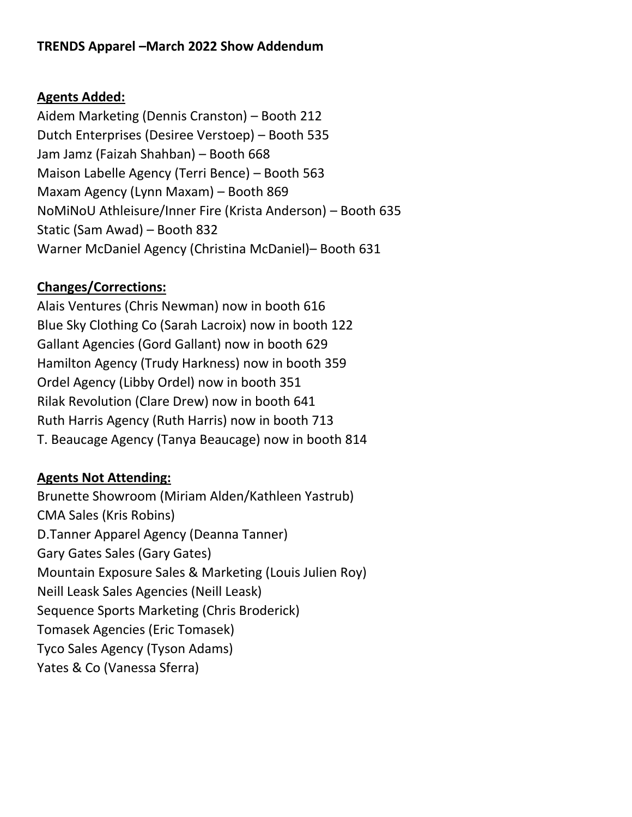## **TRENDS Apparel –March 2022 Show Addendum**

## **Agents Added:**

Aidem Marketing (Dennis Cranston) – Booth 212 Dutch Enterprises (Desiree Verstoep) – Booth 535 Jam Jamz (Faizah Shahban) – Booth 668 Maison Labelle Agency (Terri Bence) – Booth 563 Maxam Agency (Lynn Maxam) – Booth 869 NoMiNoU Athleisure/Inner Fire (Krista Anderson) – Booth 635 Static (Sam Awad) – Booth 832 Warner McDaniel Agency (Christina McDaniel)– Booth 631

## **Changes/Corrections:**

Alais Ventures (Chris Newman) now in booth 616 Blue Sky Clothing Co (Sarah Lacroix) now in booth 122 Gallant Agencies (Gord Gallant) now in booth 629 Hamilton Agency (Trudy Harkness) now in booth 359 Ordel Agency (Libby Ordel) now in booth 351 Rilak Revolution (Clare Drew) now in booth 641 Ruth Harris Agency (Ruth Harris) now in booth 713 T. Beaucage Agency (Tanya Beaucage) now in booth 814

## **Agents Not Attending:**

Brunette Showroom (Miriam Alden/Kathleen Yastrub) CMA Sales (Kris Robins) D.Tanner Apparel Agency (Deanna Tanner) Gary Gates Sales (Gary Gates) Mountain Exposure Sales & Marketing (Louis Julien Roy) Neill Leask Sales Agencies (Neill Leask) Sequence Sports Marketing (Chris Broderick) Tomasek Agencies (Eric Tomasek) Tyco Sales Agency (Tyson Adams) Yates & Co (Vanessa Sferra)